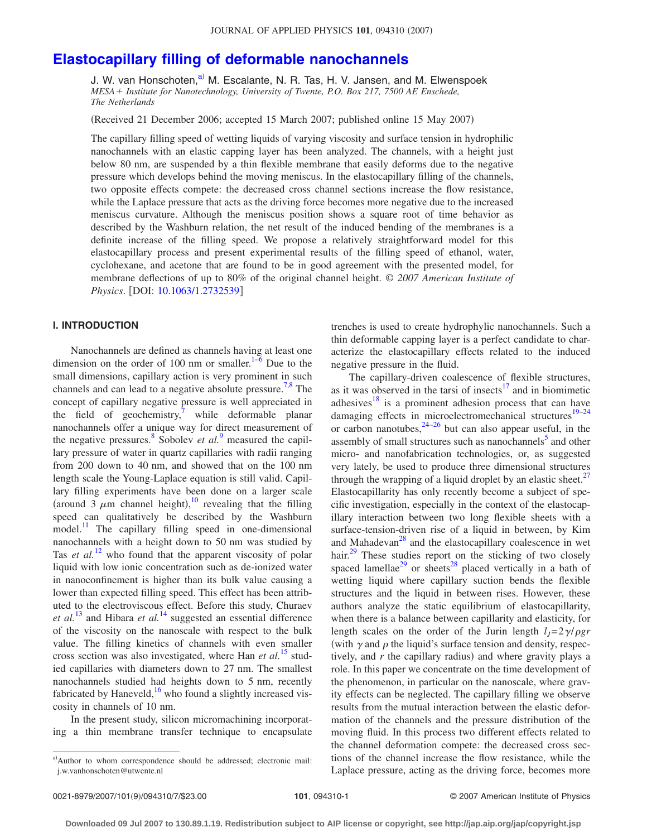# **[Elastocapillary filling of deformable nanochannels](http://dx.doi.org/10.1063/1.2732539)**

J. W. van Honschoten,<sup>a)</sup> M. Escalante, N. R. Tas, H. V. Jansen, and M. Elwenspoek *MESA Institute for Nanotechnology, University of Twente, P.O. Box 217, 7500 AE Enschede, The Netherlands*

(Received 21 December 2006; accepted 15 March 2007; published online 15 May 2007)

The capillary filling speed of wetting liquids of varying viscosity and surface tension in hydrophilic nanochannels with an elastic capping layer has been analyzed. The channels, with a height just below 80 nm, are suspended by a thin flexible membrane that easily deforms due to the negative pressure which develops behind the moving meniscus. In the elastocapillary filling of the channels, two opposite effects compete: the decreased cross channel sections increase the flow resistance, while the Laplace pressure that acts as the driving force becomes more negative due to the increased meniscus curvature. Although the meniscus position shows a square root of time behavior as described by the Washburn relation, the net result of the induced bending of the membranes is a definite increase of the filling speed. We propose a relatively straightforward model for this elastocapillary process and present experimental results of the filling speed of ethanol, water, cyclohexane, and acetone that are found to be in good agreement with the presented model, for membrane deflections of up to 80% of the original channel height. © *2007 American Institute of Physics*. [DOI: [10.1063/1.2732539](http://dx.doi.org/10.1063/1.2732539)]

## **I. INTRODUCTION**

Nanochannels are defined as channels having at least one dimension on the order of 100 nm or smaller. $1-6$  Due to the small dimensions, capillary action is very prominent in such channels and can lead to a negative absolute pressure.<sup>7,[8](#page-6-3)</sup> The concept of capillary negative pressure is well appreciated in the field of geochemistry, $\frac{1}{2}$  while deformable planar nanochannels offer a unique way for direct measurement of the negative pressures.<sup>8</sup> Sobolev *et al.*<sup>[9](#page-6-4)</sup> measured the capillary pressure of water in quartz capillaries with radii ranging from 200 down to 40 nm, and showed that on the 100 nm length scale the Young-Laplace equation is still valid. Capillary filling experiments have been done on a larger scale (around 3  $\mu$ m channel height),<sup>[10](#page-6-5)</sup> revealing that the filling speed can qualitatively be described by the Washburn model. $^{11}$  The capillary filling speed in one-dimensional nanochannels with a height down to 50 nm was studied by Tas *et al.*<sup>[12](#page-6-7)</sup> who found that the apparent viscosity of polar liquid with low ionic concentration such as de-ionized water in nanoconfinement is higher than its bulk value causing a lower than expected filling speed. This effect has been attributed to the electroviscous effect. Before this study, Churaev *et al.*[13](#page-6-8) and Hibara *et al.*[14](#page-6-9) suggested an essential difference of the viscosity on the nanoscale with respect to the bulk value. The filling kinetics of channels with even smaller cross section was also investigated, where Han *et al.*[15](#page-6-10) studied capillaries with diameters down to 27 nm. The smallest nanochannels studied had heights down to 5 nm, recently fabricated by Haneveld,  $^{16}$  who found a slightly increased viscosity in channels of 10 nm.

In the present study, silicon micromachining incorporating a thin membrane transfer technique to encapsulate trenches is used to create hydrophylic nanochannels. Such a thin deformable capping layer is a perfect candidate to characterize the elastocapillary effects related to the induced negative pressure in the fluid.

The capillary-driven coalescence of flexible structures, as it was observed in the tarsi of insects $17$  and in biomimetic adhesives $18$  is a prominent adhesion process that can have damaging effects in microelectromechanical structures<sup>19[–24](#page-6-15)</sup> or carbon nanotubes,  $24-26$  but can also appear useful, in the assembly of small structures such as nanochannels<sup>5</sup> and other micro- and nanofabrication technologies, or, as suggested very lately, be used to produce three dimensional structures through the wrapping of a liquid droplet by an elastic sheet.<sup>27</sup> Elastocapillarity has only recently become a subject of specific investigation, especially in the context of the elastocapillary interaction between two long flexible sheets with a surface-tension-driven rise of a liquid in between, by Kim and Mahadevan<sup>28</sup> and the elastocapillary coalescence in wet hair.<sup>29</sup> These studies report on the sticking of two closely spaced lamellae<sup>29</sup> or sheets<sup>28</sup> placed vertically in a bath of wetting liquid where capillary suction bends the flexible structures and the liquid in between rises. However, these authors analyze the static equilibrium of elastocapillarity, when there is a balance between capillarity and elasticity, for length scales on the order of the Jurin length  $l<sub>J</sub>=2\gamma/\rho gr$ (with  $\gamma$  and  $\rho$  the liquid's surface tension and density, respectively, and  $r$  the capillary radius) and where gravity plays a role. In this paper we concentrate on the time development of the phenomenon, in particular on the nanoscale, where gravity effects can be neglected. The capillary filling we observe results from the mutual interaction between the elastic deformation of the channels and the pressure distribution of the moving fluid. In this process two different effects related to the channel deformation compete: the decreased cross sections of the channel increase the flow resistance, while the Laplace pressure, acting as the driving force, becomes more

<span id="page-0-0"></span>a)Author to whom correspondence should be addressed; electronic mail: j.w.vanhonschoten@utwente.nl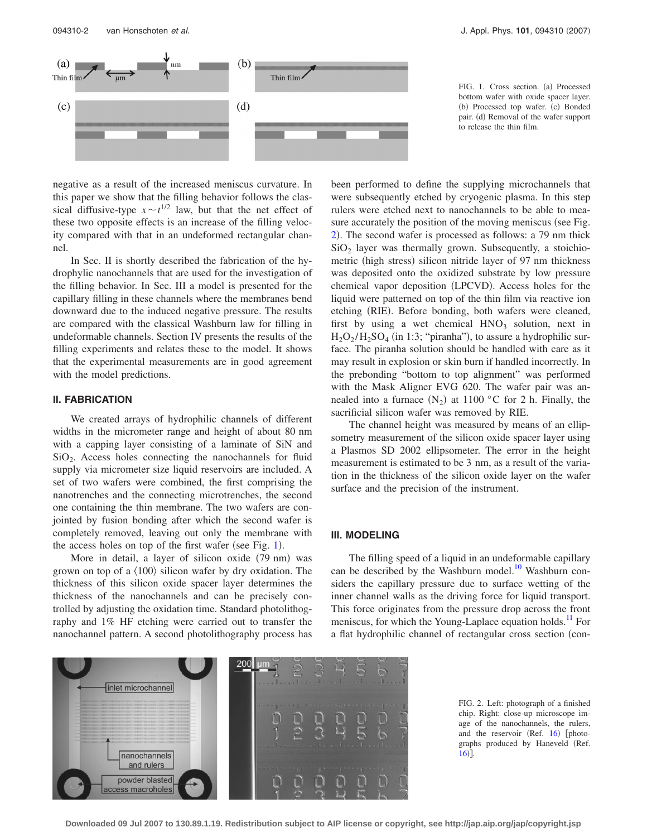<span id="page-1-0"></span>

FIG. 1. Cross section. (a) Processed bottom wafer with oxide spacer layer. (b) Processed top wafer. (c) Bonded pair. (d) Removal of the wafer support to release the thin film.

negative as a result of the increased meniscus curvature. In this paper we show that the filling behavior follows the classical diffusive-type  $x \sim t^{1/2}$  law, but that the net effect of these two opposite effects is an increase of the filling velocity compared with that in an undeformed rectangular channel.

In Sec. II is shortly described the fabrication of the hydrophylic nanochannels that are used for the investigation of the filling behavior. In Sec. III a model is presented for the capillary filling in these channels where the membranes bend downward due to the induced negative pressure. The results are compared with the classical Washburn law for filling in undeformable channels. Section IV presents the results of the filling experiments and relates these to the model. It shows that the experimental measurements are in good agreement with the model predictions.

### **II. FABRICATION**

We created arrays of hydrophilic channels of different widths in the micrometer range and height of about 80 nm with a capping layer consisting of a laminate of SiN and  $SiO<sub>2</sub>$ . Access holes connecting the nanochannels for fluid supply via micrometer size liquid reservoirs are included. A set of two wafers were combined, the first comprising the nanotrenches and the connecting microtrenches, the second one containing the thin membrane. The two wafers are conjointed by fusion bonding after which the second wafer is completely removed, leaving out only the membrane with the access holes on top of the first wafer (see Fig.  $1$ ).

More in detail, a layer of silicon oxide (79 nm) was grown on top of a  $\langle 100 \rangle$  silicon wafer by dry oxidation. The thickness of this silicon oxide spacer layer determines the thickness of the nanochannels and can be precisely controlled by adjusting the oxidation time. Standard photolithography and 1% HF etching were carried out to transfer the nanochannel pattern. A second photolithography process has been performed to define the supplying microchannels that were subsequently etched by cryogenic plasma. In this step rulers were etched next to nanochannels to be able to measure accurately the position of the moving meniscus (see Fig. [2](#page-1-1)). The second wafer is processed as follows: a 79 nm thick  $SiO<sub>2</sub>$  layer was thermally grown. Subsequently, a stoichiometric (high stress) silicon nitride layer of 97 nm thickness was deposited onto the oxidized substrate by low pressure chemical vapor deposition (LPCVD). Access holes for the liquid were patterned on top of the thin film via reactive ion etching (RIE). Before bonding, both wafers were cleaned, first by using a wet chemical  $HNO<sub>3</sub>$  solution, next in  $H_2O_2/H_2SO_4$  (in 1:3; "piranha"), to assure a hydrophilic surface. The piranha solution should be handled with care as it may result in explosion or skin burn if handled incorrectly. In the prebonding "bottom to top alignment" was performed with the Mask Aligner EVG 620. The wafer pair was annealed into a furnace  $(N_2)$  at 1100 °C for 2 h. Finally, the sacrificial silicon wafer was removed by RIE.

The channel height was measured by means of an ellipsometry measurement of the silicon oxide spacer layer using a Plasmos SD 2002 ellipsometer. The error in the height measurement is estimated to be 3 nm, as a result of the variation in the thickness of the silicon oxide layer on the wafer surface and the precision of the instrument.

#### **III. MODELING**

The filling speed of a liquid in an undeformable capillary can be described by the Washburn model. $10$  Washburn considers the capillary pressure due to surface wetting of the inner channel walls as the driving force for liquid transport. This force originates from the pressure drop across the front meniscus, for which the Young-Laplace equation holds.<sup>11</sup> For a flat hydrophilic channel of rectangular cross section (con-

<span id="page-1-1"></span>

FIG. 2. Left: photograph of a finished chip. Right: close-up microscope image of the nanochannels, the rulers, and the reservoir (Ref. [16](#page-6-11)) [photographs produced by Haneveld (Ref.  $16$ ].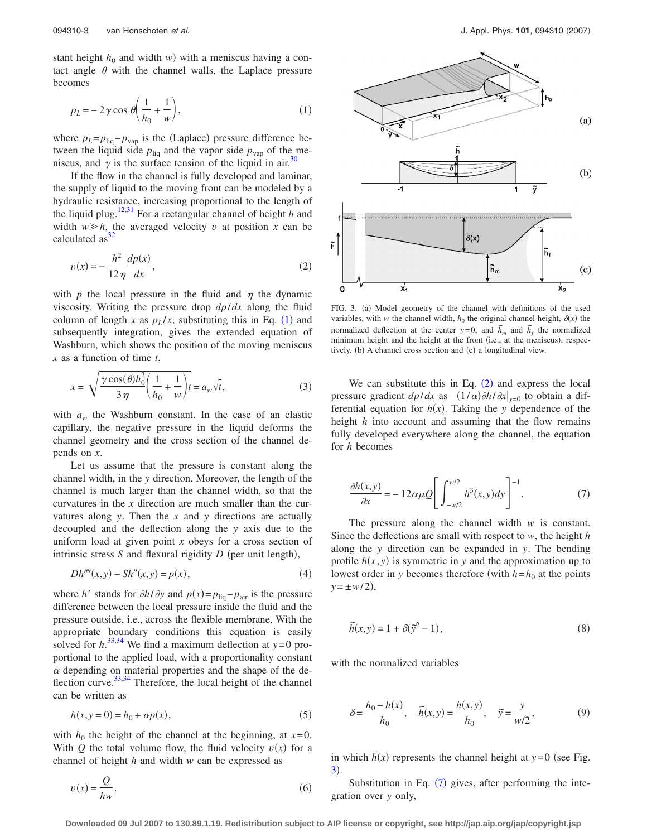stant height  $h_0$  and width *w*) with a meniscus having a contact angle  $\theta$  with the channel walls, the Laplace pressure becomes

<span id="page-2-0"></span>
$$
p_L = -2\gamma \cos \theta \left(\frac{1}{h_0} + \frac{1}{w}\right),\tag{1}
$$

where  $p_L = p_{liq} - p_{vap}$  is the (Laplace) pressure difference between the liquid side  $p_{\text{liq}}$  and the vapor side  $p_{\text{vap}}$  of the meniscus, and  $\gamma$  is the surface tension of the liquid in air.<sup>30</sup>

If the flow in the channel is fully developed and laminar, the supply of liquid to the moving front can be modeled by a hydraulic resistance, increasing proportional to the length of the liquid plug.<sup>12[,31](#page-6-22)</sup> For a rectangular channel of height *h* and width  $w \geq h$ , the averaged velocity *v* at position *x* can be calculated  $as<sup>32</sup>$ 

<span id="page-2-1"></span>
$$
v(x) = -\frac{h^2}{12\eta} \frac{dp(x)}{dx},
$$
 (2)

with  $p$  the local pressure in the fluid and  $\eta$  the dynamic viscosity. Writing the pressure drop *dp*/*dx* along the fluid column of length *x* as  $p_L/x$ , substituting this in Eq. ([1](#page-2-0)) and subsequently integration, gives the extended equation of Washburn, which shows the position of the moving meniscus *x* as a function of time *t*,

<span id="page-2-5"></span>
$$
x = \sqrt{\frac{\gamma \cos(\theta) h_0^2}{3\eta} \left(\frac{1}{h_0} + \frac{1}{w}\right)} t = a_w \sqrt{t},
$$
\n(3)

with  $a_w$  the Washburn constant. In the case of an elastic capillary, the negative pressure in the liquid deforms the channel geometry and the cross section of the channel depends on *x*.

Let us assume that the pressure is constant along the channel width, in the *y* direction. Moreover, the length of the channel is much larger than the channel width, so that the curvatures in the *x* direction are much smaller than the curvatures along *y*. Then the *x* and *y* directions are actually decoupled and the deflection along the *y* axis due to the uniform load at given point *x* obeys for a cross section of intrinsic stress  $S$  and flexural rigidity  $D$  (per unit length),

$$
Dh''''(x, y) - Sh''(x, y) = p(x),
$$
\n(4)

where *h*<sup>*'*</sup> stands for  $\partial h / \partial y$  and  $p(x) = p_{\text{liq}} - p_{\text{air}}$  is the pressure difference between the local pressure inside the fluid and the pressure outside, i.e., across the flexible membrane. With the appropriate boundary conditions this equation is easily solved for  $h^{33,34}$  $h^{33,34}$  $h^{33,34}$  $h^{33,34}$  We find a maximum deflection at  $y=0$  proportional to the applied load, with a proportionality constant  $\alpha$  depending on material properties and the shape of the de-flection curve.<sup>33,[34](#page-6-25)</sup> Therefore, the local height of the channel can be written as

$$
h(x, y = 0) = h_0 + \alpha p(x),
$$
\n(5)

<span id="page-2-4"></span>with  $h_0$  the height of the channel at the beginning, at  $x=0$ . With Q the total volume flow, the fluid velocity  $v(x)$  for a channel of height *h* and width *w* can be expressed as

$$
v(x) = \frac{Q}{hw}.
$$
 (6)

<span id="page-2-2"></span>

FIG. 3. (a) Model geometry of the channel with definitions of the used variables, with *w* the channel width,  $h_0$  the original channel height,  $\delta(x)$  the normalized deflection at the center  $y=0$ , and  $\tilde{h}_m$  and  $\tilde{h}_f$  the normalized minimum height and the height at the front (i.e., at the meniscus), respectively. (b) A channel cross section and (c) a longitudinal view.

We can substitute this in Eq.  $(2)$  $(2)$  $(2)$  and express the local pressure gradient  $dp/dx$  as  $(1/\alpha)\partial h/\partial x|_{y=0}$  to obtain a differential equation for  $h(x)$ . Taking the *y* dependence of the height *h* into account and assuming that the flow remains fully developed everywhere along the channel, the equation for *h* becomes

<span id="page-2-3"></span>
$$
\frac{\partial h(x,y)}{\partial x} = -12\alpha\mu Q \left[ \int_{-w/2}^{w/2} h^3(x,y) dy \right]^{-1}.
$$
 (7)

The pressure along the channel width *w* is constant. Since the deflections are small with respect to *w*, the height *h* along the *y* direction can be expanded in *y*. The bending profile  $h(x, y)$  is symmetric in *y* and the approximation up to lowest order in *y* becomes therefore (with  $h=h_0$  at the points  $y = \pm w/2$ ,

$$
\widetilde{h}(x, y) = 1 + \delta(\widetilde{y}^2 - 1),\tag{8}
$$

with the normalized variables

<span id="page-2-6"></span>
$$
\delta = \frac{h_0 - \bar{h}(x)}{h_0}, \quad \tilde{h}(x, y) = \frac{h(x, y)}{h_0}, \quad \tilde{y} = \frac{y}{w/2},
$$
 (9)

in which  $\overline{h}(x)$  represents the channel height at *y*=0 (see Fig.  $3).$  $3).$ 

Substitution in Eq.  $(7)$  $(7)$  $(7)$  gives, after performing the integration over *y* only,

**Downloaded 09 Jul 2007 to 130.89.1.19. Redistribution subject to AIP license or copyright, see http://jap.aip.org/jap/copyright.jsp**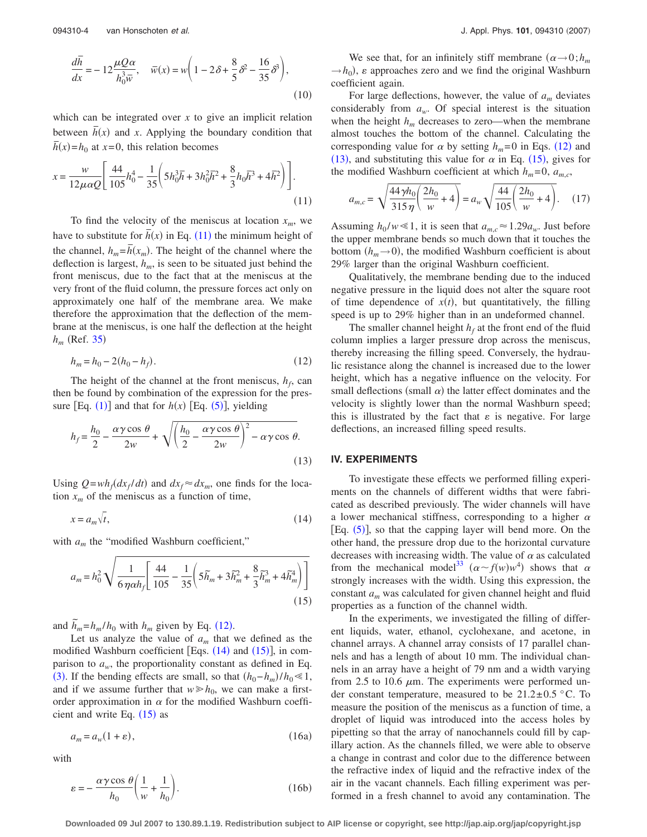$$
\frac{d\overline{h}}{dx} = -12\frac{\mu Q\alpha}{h_0^3 \overline{w}}, \quad \overline{w}(x) = w\left(1 - 2\delta + \frac{8}{5}\delta^2 - \frac{16}{35}\delta^3\right),\tag{10}
$$

which can be integrated over  $x$  to give an implicit relation between  $\bar{h}(x)$  and *x*. Applying the boundary condition that  $\overline{h}(x) = h_0$  at  $x = 0$ , this relation becomes

<span id="page-3-0"></span>
$$
x = \frac{w}{12\mu\alpha Q} \left[ \frac{44}{105} h_0^4 - \frac{1}{35} \left( 5h_0^3 \overline{h} + 3h_0^2 \overline{h}^2 + \frac{8}{3} h_0 \overline{h}^3 + 4\overline{h}^2 \right) \right].
$$
\n(11)

To find the velocity of the meniscus at location  $x_m$ , we have to substitute for  $\bar{h}(x)$  in Eq. ([11](#page-3-0)) the minimum height of the channel,  $h_m = \bar{h}(x_m)$ . The height of the channel where the deflection is largest,  $h_m$ , is seen to be situated just behind the front meniscus, due to the fact that at the meniscus at the very front of the fluid column, the pressure forces act only on approximately one half of the membrane area. We make therefore the approximation that the deflection of the membrane at the meniscus, is one half the deflection at the height  $h_m$  (Ref. [35](#page-6-26))

$$
h_m = h_0 - 2(h_0 - h_f). \tag{12}
$$

<span id="page-3-1"></span>The height of the channel at the front meniscus,  $h_f$ , can then be found by combination of the expression for the pressure  $[Eq. (1)]$  $[Eq. (1)]$  $[Eq. (1)]$  and that for  $h(x)$   $[Eq. (5)]$  $[Eq. (5)]$  $[Eq. (5)]$ , yielding

<span id="page-3-4"></span>
$$
h_f = \frac{h_0}{2} - \frac{\alpha \gamma \cos \theta}{2w} + \sqrt{\left(\frac{h_0}{2} - \frac{\alpha \gamma \cos \theta}{2w}\right)^2 - \alpha \gamma \cos \theta}.
$$
\n(13)

Using  $Q = wh_f(dx_f/dt)$  and  $dx_f \approx dx_m$ , one finds for the location  $x_m$  of the meniscus as a function of time,

<span id="page-3-2"></span>
$$
x = a_m \sqrt{t},\tag{14}
$$

<span id="page-3-3"></span>with  $a_m$  the "modified Washburn coefficient,"

$$
a_m = h_0^2 \sqrt{\frac{1}{6 \eta \alpha h_f} \left[ \frac{44}{105} - \frac{1}{35} \left( 5\tilde{h}_m + 3\tilde{h}_m^2 + \frac{8}{3} \tilde{h}_m^3 + 4\tilde{h}_m^4 \right) \right]}
$$
(15)

and  $\tilde{h}_m = h_m / h_0$  with  $h_m$  given by Eq. ([12](#page-3-1)).

Let us analyze the value of  $a_m$  that we defined as the modified Washburn coefficient [Eqs.  $(14)$  $(14)$  $(14)$  and  $(15)$  $(15)$  $(15)$ ], in comparison to  $a_w$ , the proportionality constant as defined in Eq. ([3](#page-2-5)). If the bending effects are small, so that  $(h_0 - h_m)/h_0 \ll 1$ , and if we assume further that  $w \ge h_0$ , we can make a firstorder approximation in  $\alpha$  for the modified Washburn coefficient and write Eq.  $(15)$  $(15)$  $(15)$  as

$$
a_m = a_w (1 + \varepsilon), \tag{16a}
$$

with

$$
\varepsilon = -\frac{\alpha \gamma \cos \theta}{h_0} \left( \frac{1}{w} + \frac{1}{h_0} \right). \tag{16b}
$$

We see that, for an infinitely stiff membrane  $(\alpha \rightarrow 0; h_m)$  $\rightarrow$ *h*<sub>0</sub>),  $\varepsilon$  approaches zero and we find the original Washburn coefficient again.

For large deflections, however, the value of  $a_m$  deviates considerably from  $a_w$ . Of special interest is the situation when the height  $h_m$  decreases to zero—when the membrane almost touches the bottom of the channel. Calculating the corresponding value for  $\alpha$  by setting  $h_m = 0$  in Eqs. ([12](#page-3-1)) and ([13](#page-3-4)), and substituting this value for  $\alpha$  in Eq. ([15](#page-3-3)), gives for the modified Washburn coefficient at which  $h_m = 0$ ,  $a_{m,c}$ ,

$$
a_{m,c} = \sqrt{\frac{44\gamma h_0}{315\,\eta} \left(\frac{2h_0}{w} + 4\right)} = a_w \sqrt{\frac{44}{105} \left(\frac{2h_0}{w} + 4\right)}.
$$
 (17)

Assuming  $h_0 / w \le 1$ , it is seen that  $a_{m,c} \approx 1.29 a_w$ . Just before the upper membrane bends so much down that it touches the bottom  $(h_m \rightarrow 0)$ , the modified Washburn coefficient is about 29% larger than the original Washburn coefficient.

Qualitatively, the membrane bending due to the induced negative pressure in the liquid does not alter the square root of time dependence of  $x(t)$ , but quantitatively, the filling speed is up to 29% higher than in an undeformed channel.

The smaller channel height  $h_f$  at the front end of the fluid column implies a larger pressure drop across the meniscus, thereby increasing the filling speed. Conversely, the hydraulic resistance along the channel is increased due to the lower height, which has a negative influence on the velocity. For small deflections (small  $\alpha$ ) the latter effect dominates and the velocity is slightly lower than the normal Washburn speed; this is illustrated by the fact that  $\varepsilon$  is negative. For large deflections, an increased filling speed results.

#### **IV. EXPERIMENTS**

To investigate these effects we performed filling experiments on the channels of different widths that were fabricated as described previously. The wider channels will have a lower mechanical stiffness, corresponding to a higher  $\alpha$ [Eq.  $(5)$  $(5)$  $(5)$ ], so that the capping layer will bend more. On the other hand, the pressure drop due to the horizontal curvature decreases with increasing width. The value of  $\alpha$  as calculated from the mechanical model<sup>33</sup>  $(\alpha \sim f(w)w^4)$  shows that  $\alpha$ strongly increases with the width. Using this expression, the constant *am* was calculated for given channel height and fluid properties as a function of the channel width.

In the experiments, we investigated the filling of different liquids, water, ethanol, cyclohexane, and acetone, in channel arrays. A channel array consists of 17 parallel channels and has a length of about 10 mm. The individual channels in an array have a height of 79 nm and a width varying from 2.5 to 10.6  $\mu$ m. The experiments were performed under constant temperature, measured to be  $21.2 \pm 0.5$  °C. To measure the position of the meniscus as a function of time, a droplet of liquid was introduced into the access holes by pipetting so that the array of nanochannels could fill by capillary action. As the channels filled, we were able to observe a change in contrast and color due to the difference between the refractive index of liquid and the refractive index of the air in the vacant channels. Each filling experiment was performed in a fresh channel to avoid any contamination. The

**Downloaded 09 Jul 2007 to 130.89.1.19. Redistribution subject to AIP license or copyright, see http://jap.aip.org/jap/copyright.jsp**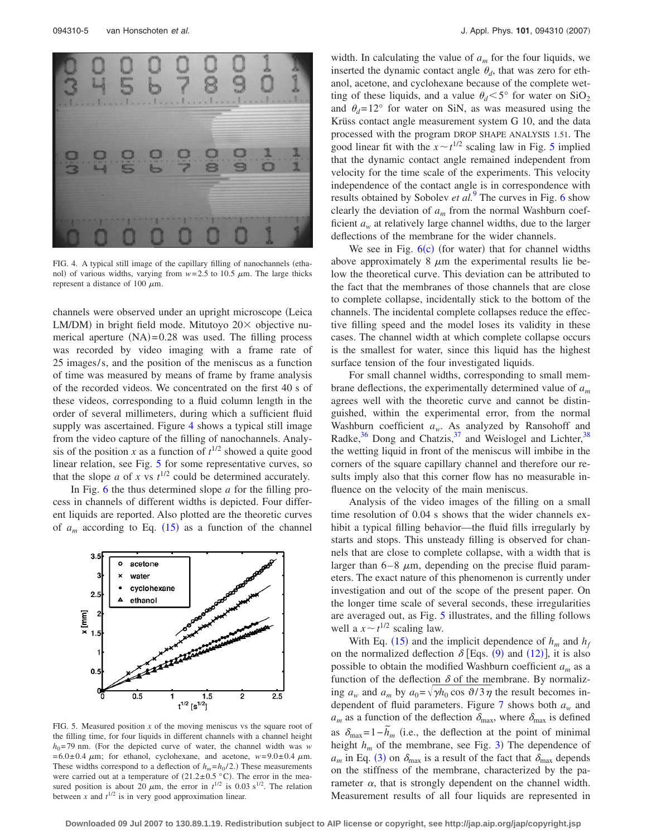<span id="page-4-0"></span>

FIG. 4. A typical still image of the capillary filling of nanochannels (ethanol) of various widths, varying from  $w=2.5$  to 10.5  $\mu$ m. The large thicks represent a distance of 100  $\mu$ m.

channels were observed under an upright microscope Leica LM/DM) in bright field mode. Mitutoyo 20× objective numerical aperture  $(NA)=0.28$  was used. The filling process was recorded by video imaging with a frame rate of 25 images/ s, and the position of the meniscus as a function of time was measured by means of frame by frame analysis of the recorded videos. We concentrated on the first 40 s of these videos, corresponding to a fluid column length in the order of several millimeters, during which a sufficient fluid supply was ascertained. Figure [4](#page-4-0) shows a typical still image from the video capture of the filling of nanochannels. Analysis of the position *x* as a function of  $t^{1/2}$  showed a quite good linear relation, see Fig. [5](#page-4-1) for some representative curves, so that the slope *a* of *x* vs  $t^{1/2}$  could be determined accurately.

In Fig. [6](#page-5-0) the thus determined slope *a* for the filling process in channels of different widths is depicted. Four different liquids are reported. Also plotted are the theoretic curves of  $a_m$  according to Eq. ([15](#page-3-3)) as a function of the channel

<span id="page-4-1"></span>

FIG. 5. Measured position *x* of the moving meniscus vs the square root of the filling time, for four liquids in different channels with a channel height  $h_0$ =79 nm. (For the depicted curve of water, the channel width was *w*  $= 6.0 \pm 0.4 \mu m$ ; for ethanol, cyclohexane, and acetone,  $w=9.0 \pm 0.4 \mu m$ . These widths correspond to a deflection of  $h_m = h_0 / 2$ .) These measurements were carried out at a temperature of  $(21.2 \pm 0.5 \degree C)$ . The error in the measured position is about 20  $\mu$ m, the error in  $t^{1/2}$  is 0.03 s<sup>1/2</sup>. The relation between *x* and  $t^{1/2}$  is in very good approximation linear.

width. In calculating the value of  $a_m$  for the four liquids, we inserted the dynamic contact angle  $\theta_d$ , that was zero for ethanol, acetone, and cyclohexane because of the complete wetting of these liquids, and a value  $\theta_d < 5^\circ$  for water on SiO<sub>2</sub> and  $\theta_d = 12^\circ$  for water on SiN, as was measured using the Krüss contact angle measurement system G 10, and the data processed with the program DROP SHAPE ANALYSIS 1.51. The good linear fit with the  $x \sim t^{1/2}$  scaling law in Fig. [5](#page-4-1) implied that the dynamic contact angle remained independent from velocity for the time scale of the experiments. This velocity independence of the contact angle is in correspondence with results obtained by Sobolev *et al.*[9](#page-6-4) The curves in Fig. [6](#page-5-0) show clearly the deviation of *am* from the normal Washburn coefficient  $a_w$  at relatively large channel widths, due to the larger deflections of the membrane for the wider channels.

We see in Fig.  $6(c)$  $6(c)$  (for water) that for channel widths above approximately  $8 \mu m$  the experimental results lie below the theoretical curve. This deviation can be attributed to the fact that the membranes of those channels that are close to complete collapse, incidentally stick to the bottom of the channels. The incidental complete collapses reduce the effective filling speed and the model loses its validity in these cases. The channel width at which complete collapse occurs is the smallest for water, since this liquid has the highest surface tension of the four investigated liquids.

For small channel widths, corresponding to small membrane deflections, the experimentally determined value of *am* agrees well with the theoretic curve and cannot be distinguished, within the experimental error, from the normal Washburn coefficient  $a_w$ . As analyzed by Ransohoff and Radke, $36$  Dong and Chatzis, $37$  and Weislogel and Lichter,  $38$ the wetting liquid in front of the meniscus will imbibe in the corners of the square capillary channel and therefore our results imply also that this corner flow has no measurable influence on the velocity of the main meniscus.

Analysis of the video images of the filling on a small time resolution of 0.04 s shows that the wider channels exhibit a typical filling behavior—the fluid fills irregularly by starts and stops. This unsteady filling is observed for channels that are close to complete collapse, with a width that is larger than  $6-8$   $\mu$ m, depending on the precise fluid parameters. The exact nature of this phenomenon is currently under investigation and out of the scope of the present paper. On the longer time scale of several seconds, these irregularities are averaged out, as Fig. [5](#page-4-1) illustrates, and the filling follows well a  $x \sim t^{1/2}$  scaling law.

With Eq. ([15](#page-3-3)) and the implicit dependence of  $h_m$  and  $h_f$ on the normalized deflection  $\delta$  [Eqs. ([9](#page-2-6)) and ([12](#page-3-1))], it is also possible to obtain the modified Washburn coefficient *am* as a function of the deflection  $\delta$  of the membrane. By normalizing  $a_w$  and  $a_m$  by  $a_0 = \sqrt{\gamma h_0 \cos \vartheta/3 \eta}$  the result becomes independent of fluid parameters. Figure [7](#page-5-1) shows both *aw* and  $a_m$  as a function of the deflection  $\delta_{\text{max}}$ , where  $\delta_{\text{max}}$  is defined  $\delta_{\text{max}} = 1 - \tilde{h}_m$  (i.e., the deflection at the point of minimal height  $h_m$  of the membrane, see Fig. [3](#page-2-2)) The dependence of  $a_m$  in Eq. ([3](#page-2-5)) on  $\delta_{\text{max}}$  is a result of the fact that  $\delta_{\text{max}}$  depends on the stiffness of the membrane, characterized by the parameter  $\alpha$ , that is strongly dependent on the channel width. Measurement results of all four liquids are represented in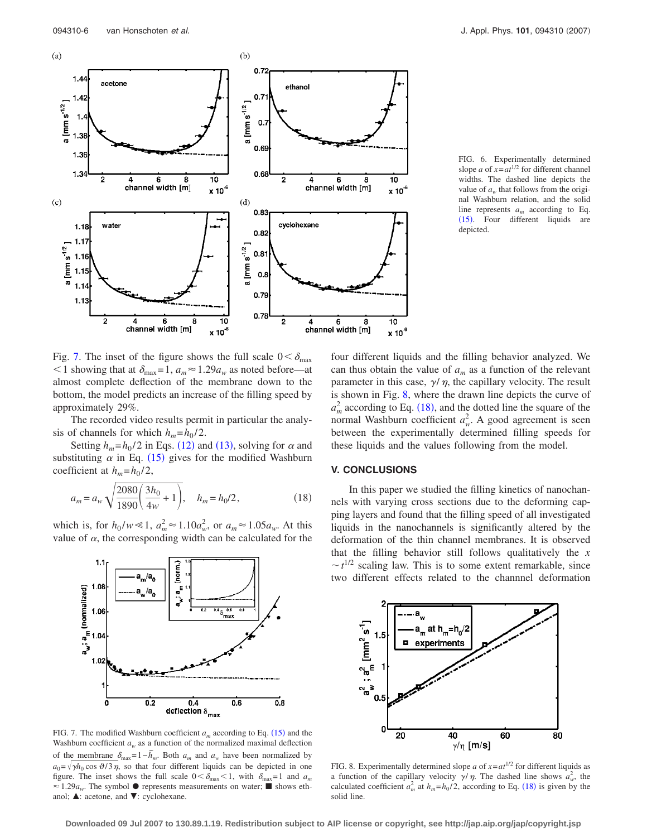<span id="page-5-0"></span>

FIG. 6. Experimentally determined slope *a* of  $x = at^{1/2}$  for different channel widths. The dashed line depicts the value of  $a_w$  that follows from the original Washburn relation, and the solid line represents *am* according to Eq. ([15](#page-3-3)). Four different liquids are depicted.

Fig. [7.](#page-5-1) The inset of the figure shows the full scale  $0 < \delta_{\text{max}}$  $1$  showing that at  $\delta_{\text{max}}=1$ ,  $a_m \approx 1.29a_w$  as noted before—at almost complete deflection of the membrane down to the bottom, the model predicts an increase of the filling speed by approximately 29%.

The recorded video results permit in particular the analysis of channels for which  $h_m = h_0 / 2$ .

Setting  $h_m = h_0 / 2$  in Eqs. ([12](#page-3-1)) and ([13](#page-3-4)), solving for  $\alpha$  and substituting  $\alpha$  in Eq. ([15](#page-3-3)) gives for the modified Washburn coefficient at  $h_m = h_0 / 2$ ,

<span id="page-5-3"></span>
$$
a_m = a_w \sqrt{\frac{2080}{1890} \left(\frac{3h_0}{4w} + 1\right)}, \quad h_m = h_0/2,
$$
 (18)

which is, for  $h_0 / w \ll 1$ ,  $a_m^2 \approx 1.10 a_w^2$ , or  $a_m \approx 1.05 a_w$ . At this value of  $\alpha$ , the corresponding width can be calculated for the

<span id="page-5-1"></span>

FIG. 7. The modified Washburn coefficient  $a_m$  according to Eq.  $(15)$  $(15)$  $(15)$  and the Washburn coefficient  $a_w$  as a function of the normalized maximal deflection of the membrane  $\delta_{\text{max}} = 1 - \tilde{h}_m$ . Both  $a_m$  and  $a_w$  have been normalized by  $a_0 = \sqrt{\gamma h_0 \cos \theta / 3 \eta}$ , so that four different liquids can be depicted in one figure. The inset shows the full scale  $0 < \delta_{\text{max}} < 1$ , with  $\delta_{\text{max}} = 1$  and  $a_m$  $\approx 1.29a_w$ . The symbol  $\bullet$  represents measurements on water; **s** shows ethanol;  $\blacktriangle$ : acetone, and  $\nabla$ : cyclohexane.

four different liquids and the filling behavior analyzed. We can thus obtain the value of  $a_m$  as a function of the relevant parameter in this case,  $\gamma/\eta$ , the capillary velocity. The result is shown in Fig. [8,](#page-5-2) where the drawn line depicts the curve of  $a_m^2$  according to Eq. ([18](#page-5-3)), and the dotted line the square of the normal Washburn coefficient  $a_w^2$ . A good agreement is seen between the experimentally determined filling speeds for these liquids and the values following from the model.

#### **V. CONCLUSIONS**

In this paper we studied the filling kinetics of nanochannels with varying cross sections due to the deforming capping layers and found that the filling speed of all investigated liquids in the nanochannels is significantly altered by the deformation of the thin channel membranes. It is observed that the filling behavior still follows qualitatively the *x*  $\sim t^{1/2}$  scaling law. This is to some extent remarkable, since two different effects related to the channnel deformation

<span id="page-5-2"></span>

FIG. 8. Experimentally determined slope  $a$  of  $x = at^{1/2}$  for different liquids as a function of the capillary velocity  $\gamma/\eta$ . The dashed line shows  $a_w^2$ , the calculated coefficient  $a_m^2$  at  $h_m = h_0/2$ , according to Eq. ([18](#page-5-3)) is given by the solid line.